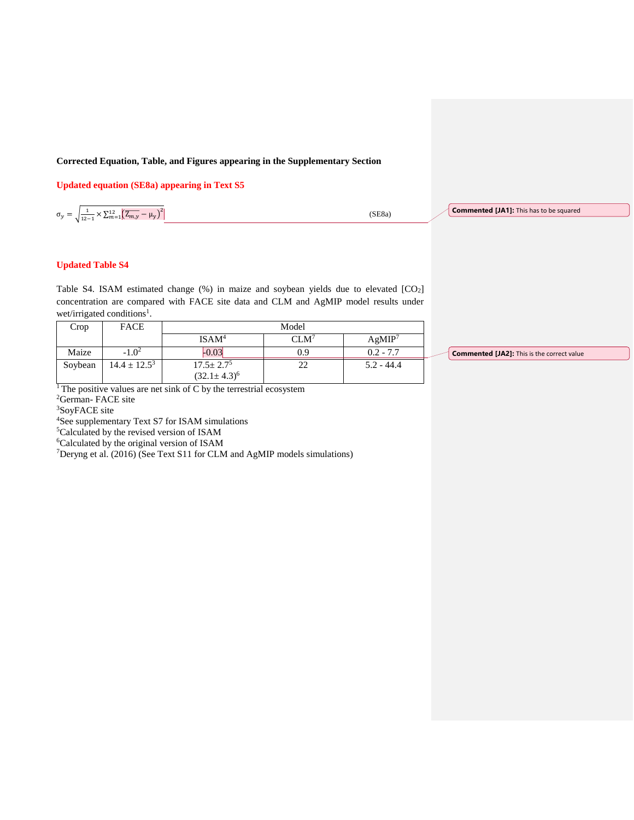## **Corrected Equation, Table, and Figures appearing in the Supplementary Section**

**Updated equation (SE8a) appearing in Text S5**

 $\sigma_y = \sqrt{\frac{1}{12}}$  $\frac{1}{12-1} \times \sum_{m=1}^{12} \left( \overline{Z_{m,y}} - \mu_y \right)^2$ 

(SE8a)

**Commented [JA1]:** This has to be squared

## **Updated Table S4**

Table S4. ISAM estimated change (%) in maize and soybean yields due to elevated [CO2] concentration are compared with FACE site data and CLM and AgMIP model results under wet/irrigated conditions<sup>1</sup>.

| Crop    | <b>FACE</b>       | Model                                    |  |              |  |
|---------|-------------------|------------------------------------------|--|--------------|--|
|         |                   | $\mathsf{ISAM}^4$                        |  | AgMIP $^7$   |  |
| Maize   | $-1.0^{2}$        | 0.021                                    |  | $0.2 - 7.7$  |  |
| Soybean | $14.4 \pm 12.5^3$ | $\frac{17.5 \pm 2.7^5}{32.1 \pm 4.22^6}$ |  | $5.2 - 44.4$ |  |
|         |                   | $[32.1 \pm 4.3]$                         |  |              |  |

**Commented [JA2]:** This is the correct value

<sup>1</sup>The positive values are net sink of C by the terrestrial ecosystem

<sup>2</sup>German- FACE site

<sup>3</sup>SoyFACE site

<sup>4</sup>See supplementary Text S7 for ISAM simulations

<sup>5</sup>Calculated by the revised version of ISAM

<sup>6</sup>Calculated by the original version of ISAM

<sup>7</sup>Deryng et al. (2016) (See Text S11 for CLM and AgMIP models simulations)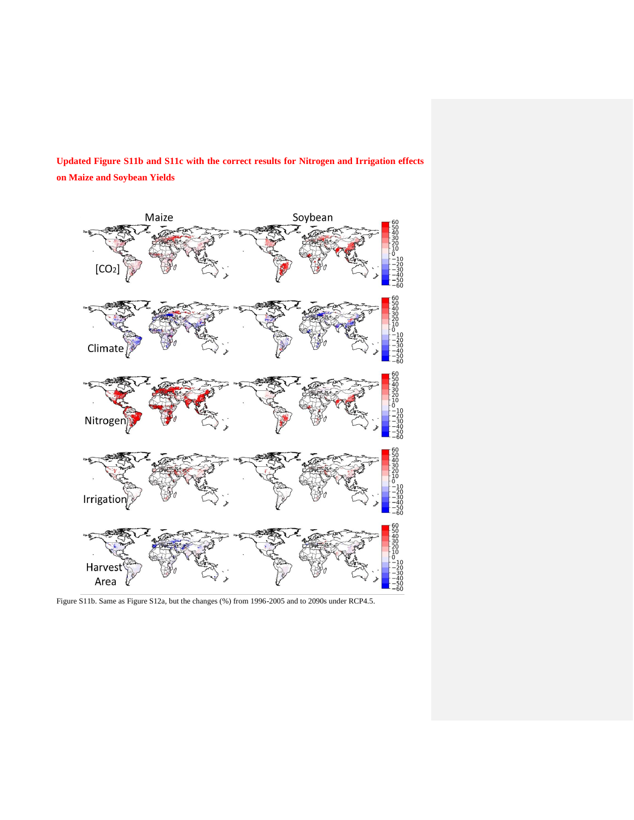**Updated Figure S11b and S11c with the correct results for Nitrogen and Irrigation effects on Maize and Soybean Yields**



Figure S11b. Same as Figure S12a, but the changes (%) from 1996-2005 and to 2090s under RCP4.5.